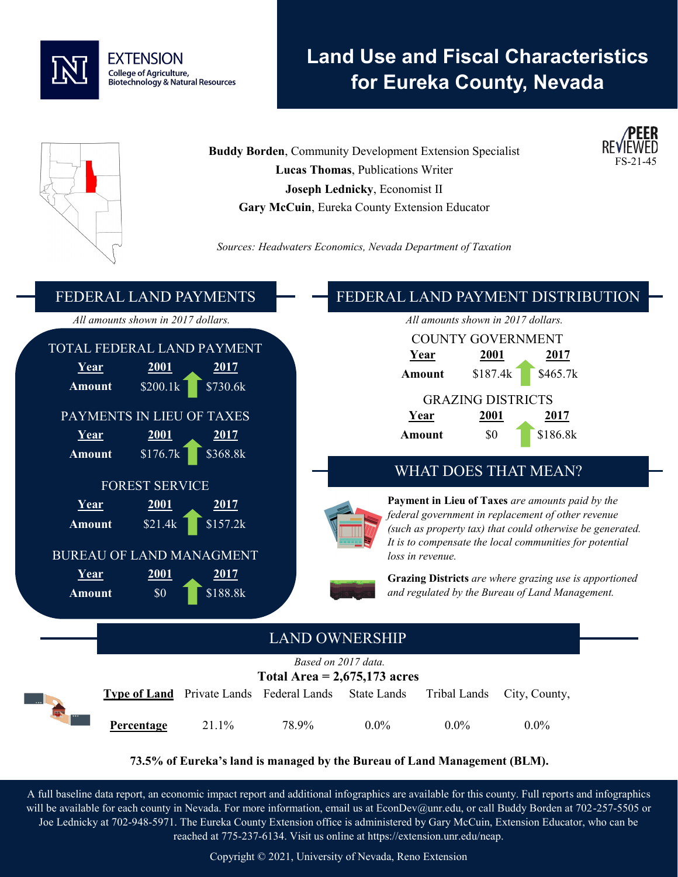

# **Land Use and Fiscal Characteristics for Eureka County, Nevada**

**Buddy Borden**, Community Development Extension Specialist **Lucas Thomas**, Publications Writer **Joseph Lednicky**, Economist II **Gary McCuin**, Eureka County Extension Educator







#### **73.5% of Eureka's land is managed by the Bureau of Land Management (BLM).**

A full baseline data report, an economic impact report and additional infographics are available for this county. Full reports and infographics will be available for each county in Nevada. For more information, email us at EconDev@unr.edu, or call Buddy Borden at 702-257-5505 or Joe Lednicky at 702-948-5971. The Eureka County Extension office is administered by Gary McCuin, Extension Educator, who can be reached at 775-237-6134. Visit us online at https://extension.unr.edu/neap.

Copyright © 2021, University of Nevada, Reno Extension